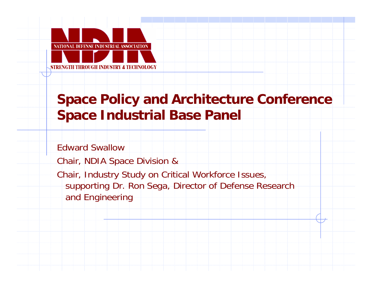

## **Space Policy and Architecture Conference Space Industrial Base Panel**

Edward Swallow

Chair, NDIA Space Division &

Chair, Industry Study on Critical Workforce Issues, supporting Dr. Ron Sega, Director of Defense Research and Engineering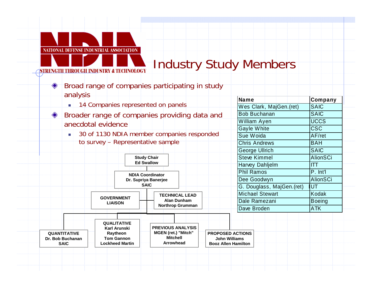

STRENGTH THROUGH INDUSTRY & TECHNOLOGY

# **Industry Study Members**

Name

Wes Clark, MajGen.(ret)

**Bob Buchanan** 

**William Ayen** 

**Gayle White** 

Sue Woida

Company

**SAIC** 

**SAIC** 

**UCCS** 

 $CSC$ 

AF/ret

- Broad range of companies participating in study analysis
	- 14 Companies represented on panels
- $\bullet$ Broader range of companies providing data and anecdotal evidence
	- 30 of 1130 NDIA member companies responded  $\mathbf{r}$  . to survey - Representative sample

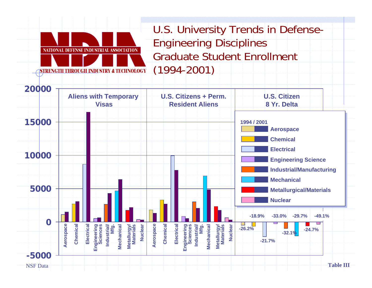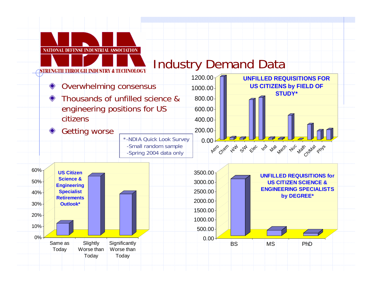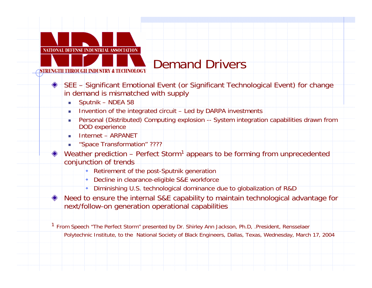

- SEE Significant Emotional Event (or Significant Technological Event) for change in demand is mismatched with supply
	- $\mathbf{r}$ Sputnik – NDEA 58
	- $\mathcal{L}_{\mathcal{A}}$ Invention of the integrated circuit – Led by DARPA investments
	- TT Personal (Distributed) Computing explosion -- System integration capabilities drawn from DOD experience
	- г Internet – ARPANET
	- **Space Transformation**" ?????
- Weather prediction Perfect Storm<sup>1</sup> appears to be forming from unprecedented conjunction of trends
	- Retirement of the post-Sputnik generation
	- Decline in clearance-eligible S&E workforce
	- Diminishing U.S. technological dominance due to globalization of R&D
- Need to ensure the internal S&E capability to maintain technological advantage for next/follow-on generation operational capabilities

<sup>1</sup> From Speech "The Perfect Storm" presented by Dr. Shirley Ann Jackson, Ph.D, .President, Rensselaer Polytechnic Institute, to the National Society of Black Engineers, Dallas, Texas, Wednesday, March 17, 2004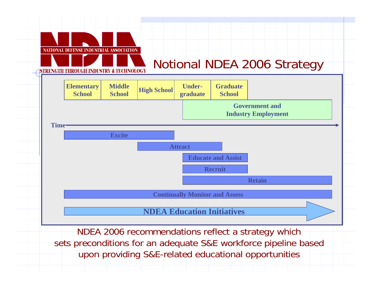

upon providing S&E-related educational opportunities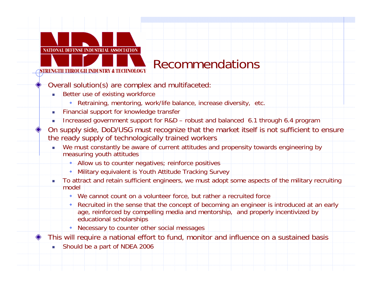# Recommendations

- Overall s olution(s) are complex a nd multi faceted:
	- Ē. Better use of existing workforce

**NATIONAL DEFENSE INDUSTRIAL ASSOCIATION** 

**ISTRENGTH THROUGH INDUSTRY & TECHNOLOGY** 

- Retraining, mentoring, work/life balance, increase diversity, etc.
- a. Financial support for knowledge trans fer
- Increased government support for R&D robust and balanced 6.1 through 6.4 program
- On supply side, DoD/USG must recognize that the market itself is not sufficient to ensure the ready supply of technologically trained workers
	- г We must constantly be aware of current attitudes and propensity towards engineering by measuring youth attitudes
		- Allow us to counter negatives; reinforce positives
		- Military e quivalent is Youth Attitude Tracking Survey
	- $\mathcal{L}_{\mathcal{A}}$  To attract and retain sufficient engineers, we must adopt some aspects of the military recruiting model
		- We c annot count on a volunteer force, but rather a recruited force
		- Recruited in the sense that the concept of becoming an engineer is introduced at an early age, reinforced by compelling media and mentorship, and properly incentivized by educational scholarships
		- Necessary to counter other social message s
- This will require a national effort to fund, monitor and influence on a sustained basis
	- Should be a p art of NDEA 2006